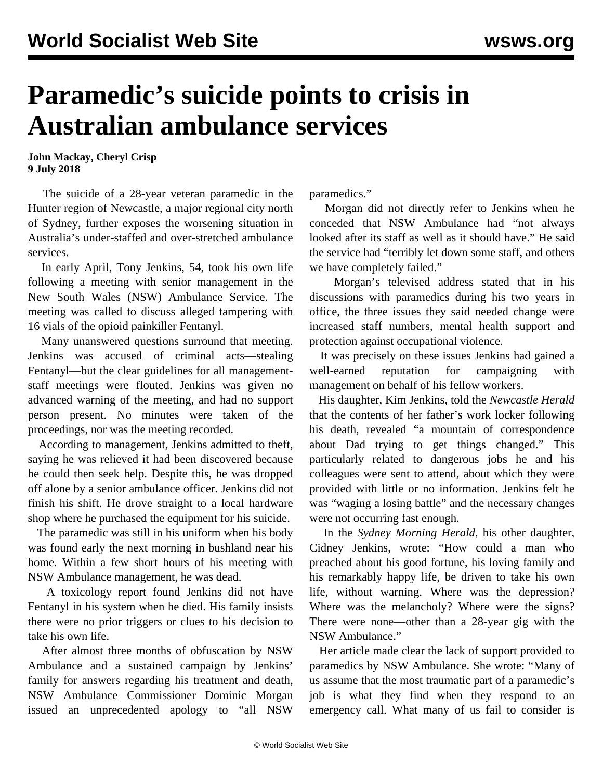## **Paramedic's suicide points to crisis in Australian ambulance services**

**John Mackay, Cheryl Crisp 9 July 2018**

 The suicide of a 28-year veteran paramedic in the Hunter region of Newcastle, a major regional city north of Sydney, further exposes the worsening situation in Australia's under-staffed and over-stretched ambulance services.

 In early April, Tony Jenkins, 54, took his own life following a meeting with senior management in the New South Wales (NSW) Ambulance Service. The meeting was called to discuss alleged tampering with 16 vials of the opioid painkiller Fentanyl.

 Many unanswered questions surround that meeting. Jenkins was accused of criminal acts—stealing Fentanyl—but the clear guidelines for all managementstaff meetings were flouted. Jenkins was given no advanced warning of the meeting, and had no support person present. No minutes were taken of the proceedings, nor was the meeting recorded.

 According to management, Jenkins admitted to theft, saying he was relieved it had been discovered because he could then seek help. Despite this, he was dropped off alone by a senior ambulance officer. Jenkins did not finish his shift. He drove straight to a local hardware shop where he purchased the equipment for his suicide.

 The paramedic was still in his uniform when his body was found early the next morning in bushland near his home. Within a few short hours of his meeting with NSW Ambulance management, he was dead.

 A toxicology report found Jenkins did not have Fentanyl in his system when he died. His family insists there were no prior triggers or clues to his decision to take his own life.

 After almost three months of obfuscation by NSW Ambulance and a sustained campaign by Jenkins' family for answers regarding his treatment and death, NSW Ambulance Commissioner Dominic Morgan issued an unprecedented apology to "all NSW

paramedics."

 Morgan did not directly refer to Jenkins when he conceded that NSW Ambulance had "not always looked after its staff as well as it should have." He said the service had "terribly let down some staff, and others we have completely failed."

 Morgan's televised address stated that in his discussions with paramedics during his two years in office, the three issues they said needed change were increased staff numbers, mental health support and protection against occupational violence.

 It was precisely on these issues Jenkins had gained a well-earned reputation for campaigning with management on behalf of his fellow workers.

 His daughter, Kim Jenkins, told the *Newcastle Herald* that the contents of her father's work locker following his death, revealed "a mountain of correspondence about Dad trying to get things changed." This particularly related to dangerous jobs he and his colleagues were sent to attend, about which they were provided with little or no information. Jenkins felt he was "waging a losing battle" and the necessary changes were not occurring fast enough.

 In the *Sydney Morning Herald*, his other daughter, Cidney Jenkins, wrote: "How could a man who preached about his good fortune, his loving family and his remarkably happy life, be driven to take his own life, without warning. Where was the depression? Where was the melancholy? Where were the signs? There were none—other than a 28-year gig with the NSW Ambulance."

 Her article made clear the lack of support provided to paramedics by NSW Ambulance. She wrote: "Many of us assume that the most traumatic part of a paramedic's job is what they find when they respond to an emergency call. What many of us fail to consider is